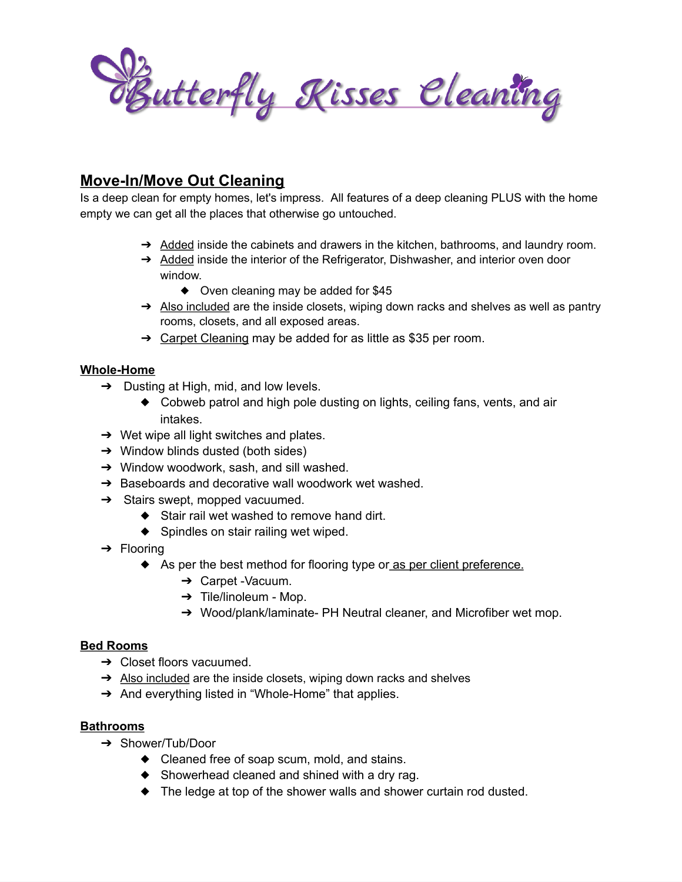

# **Move-In/Move Out Cleaning**

Is a deep clean for empty homes, let's impress. All features of a deep cleaning PLUS with the home empty we can get all the places that otherwise go untouched.

- → Added inside the cabinets and drawers in the kitchen, bathrooms, and laundry room.
- ➔ Added inside the interior of the Refrigerator, Dishwasher, and interior oven door window.
	- ◆ Oven cleaning may be added for \$45
- → Also included are the inside closets, wiping down racks and shelves as well as pantry rooms, closets, and all exposed areas.
- $\rightarrow$  Carpet Cleaning may be added for as little as \$35 per room.

### **Whole-Home**

- $\rightarrow$  Dusting at High, mid, and low levels.
	- ◆ Cobweb patrol and high pole dusting on lights, ceiling fans, vents, and air intakes.
- $\rightarrow$  Wet wipe all light switches and plates.
- $\rightarrow$  Window blinds dusted (both sides)
- ➔ Window woodwork, sash, and sill washed.
- → Baseboards and decorative wall woodwork wet washed.
- $\rightarrow$  Stairs swept, mopped vacuumed.
	- ◆ Stair rail wet washed to remove hand dirt.
	- ◆ Spindles on stair railing wet wiped.
- $\rightarrow$  Flooring
	- ◆ As per the best method for flooring type or as per client preference.
		- ➔ Carpet -Vacuum.
		- $\rightarrow$  Tile/linoleum Mop.
		- → Wood/plank/laminate- PH Neutral cleaner, and Microfiber wet mop.

## **Bed Rooms**

- ➔ Closet floors vacuumed.
- → Also included are the inside closets, wiping down racks and shelves
- → And everything listed in "Whole-Home" that applies.

#### **Bathrooms**

- ➔ Shower/Tub/Door
	- ◆ Cleaned free of soap scum, mold, and stains.
	- ◆ Showerhead cleaned and shined with a dry rag.
	- ◆ The ledge at top of the shower walls and shower curtain rod dusted.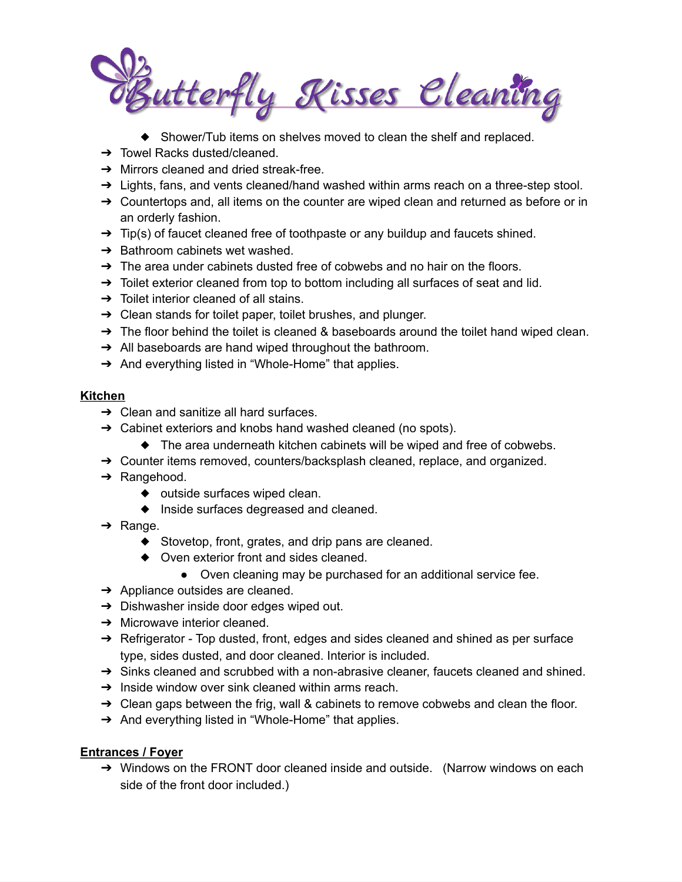intterfly Kisses Eleaning

- ◆ Shower/Tub items on shelves moved to clean the shelf and replaced.
- ➔ Towel Racks dusted/cleaned.
- ➔ Mirrors cleaned and dried streak-free.
- $\rightarrow$  Lights, fans, and vents cleaned/hand washed within arms reach on a three-step stool.
- ➔ Countertops and, all items on the counter are wiped clean and returned as before or in an orderly fashion.
- $\rightarrow$  Tip(s) of faucet cleaned free of toothpaste or any buildup and faucets shined.
- $\rightarrow$  Bathroom cabinets wet washed.
- $\rightarrow$  The area under cabinets dusted free of cobwebs and no hair on the floors.
- $\rightarrow$  Toilet exterior cleaned from top to bottom including all surfaces of seat and lid.
- $\rightarrow$  Toilet interior cleaned of all stains.
- ➔ Clean stands for toilet paper, toilet brushes, and plunger.
- $\rightarrow$  The floor behind the toilet is cleaned & baseboards around the toilet hand wiped clean.
- → All baseboards are hand wiped throughout the bathroom.
- → And everything listed in "Whole-Home" that applies.

#### **Kitchen**

- $\rightarrow$  Clean and sanitize all hard surfaces.
- ➔ Cabinet exteriors and knobs hand washed cleaned (no spots).
	- ◆ The area underneath kitchen cabinets will be wiped and free of cobwebs.
- ➔ Counter items removed, counters/backsplash cleaned, replace, and organized.
- ➔ Rangehood.
	- ◆ outside surfaces wiped clean.
	- ◆ Inside surfaces degreased and cleaned.
- $\rightarrow$  Range.
	- ◆ Stovetop, front, grates, and drip pans are cleaned.
	- ◆ Oven exterior front and sides cleaned.
		- Oven cleaning may be purchased for an additional service fee.
- $\rightarrow$  Appliance outsides are cleaned.
- → Dishwasher inside door edges wiped out.
- $\rightarrow$  Microwave interior cleaned.
- $\rightarrow$  Refrigerator Top dusted, front, edges and sides cleaned and shined as per surface type, sides dusted, and door cleaned. Interior is included.
- ➔ Sinks cleaned and scrubbed with a non-abrasive cleaner, faucets cleaned and shined.
- $\rightarrow$  Inside window over sink cleaned within arms reach.
- → Clean gaps between the frig, wall & cabinets to remove cobwebs and clean the floor.
- → And everything listed in "Whole-Home" that applies.

## **Entrances / Foyer**

→ Windows on the FRONT door cleaned inside and outside. (Narrow windows on each side of the front door included.)